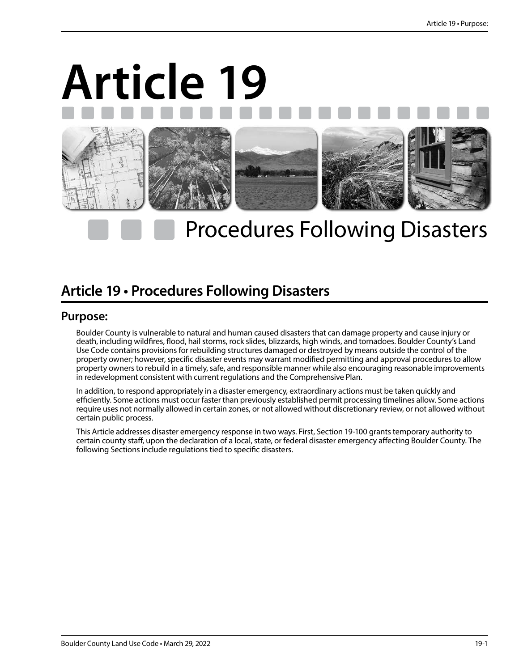# **Article 19**



## Procedures Following Disasters

### **Article 19 • Procedures Following Disasters**

#### **Purpose:**

Boulder County is vulnerable to natural and human caused disasters that can damage property and cause injury or death, including wildfires, flood, hail storms, rock slides, blizzards, high winds, and tornadoes. Boulder County's Land Use Code contains provisions for rebuilding structures damaged or destroyed by means outside the control of the property owner; however, specific disaster events may warrant modified permitting and approval procedures to allow property owners to rebuild in a timely, safe, and responsible manner while also encouraging reasonable improvements in redevelopment consistent with current regulations and the Comprehensive Plan.

In addition, to respond appropriately in a disaster emergency, extraordinary actions must be taken quickly and efficiently. Some actions must occur faster than previously established permit processing timelines allow. Some actions require uses not normally allowed in certain zones, or not allowed without discretionary review, or not allowed without certain public process.

This Article addresses disaster emergency response in two ways. First, Section 19-100 grants temporary authority to certain county staff, upon the declaration of a local, state, or federal disaster emergency affecting Boulder County. The following Sections include regulations tied to specific disasters.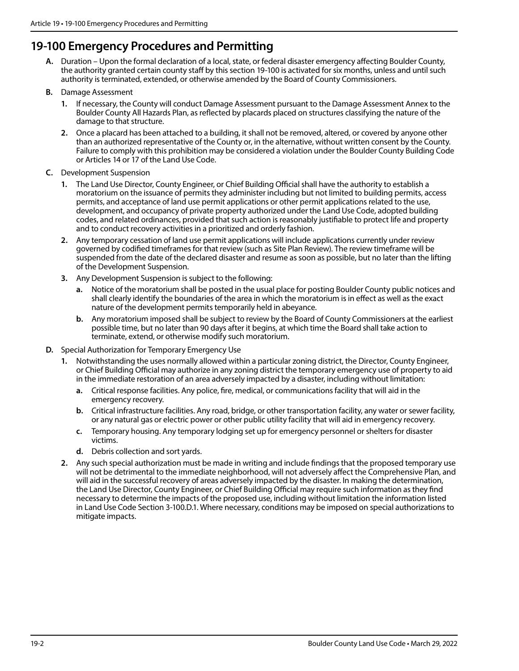#### **19-100 Emergency Procedures and Permitting**

- **A.** Duration Upon the formal declaration of a local, state, or federal disaster emergency affecting Boulder County, the authority granted certain county staff by this section 19-100 is activated for six months, unless and until such authority is terminated, extended, or otherwise amended by the Board of County Commissioners.
- **B.** Damage Assessment
	- **1.** If necessary, the County will conduct Damage Assessment pursuant to the Damage Assessment Annex to the Boulder County All Hazards Plan, as reflected by placards placed on structures classifying the nature of the damage to that structure.
	- **2.** Once a placard has been attached to a building, it shall not be removed, altered, or covered by anyone other than an authorized representative of the County or, in the alternative, without written consent by the County. Failure to comply with this prohibition may be considered a violation under the Boulder County Building Code or Articles 14 or 17 of the Land Use Code.
- **C.** Development Suspension
	- **1.** The Land Use Director, County Engineer, or Chief Building Official shall have the authority to establish a moratorium on the issuance of permits they administer including but not limited to building permits, access permits, and acceptance of land use permit applications or other permit applications related to the use, development, and occupancy of private property authorized under the Land Use Code, adopted building codes, and related ordinances, provided that such action is reasonably justifiable to protect life and property and to conduct recovery activities in a prioritized and orderly fashion.
	- **2.** Any temporary cessation of land use permit applications will include applications currently under review governed by codified timeframes for that review (such as Site Plan Review). The review timeframe will be suspended from the date of the declared disaster and resume as soon as possible, but no later than the lifting of the Development Suspension.
	- **3.** Any Development Suspension is subject to the following:
		- **a.** Notice of the moratorium shall be posted in the usual place for posting Boulder County public notices and shall clearly identify the boundaries of the area in which the moratorium is in effect as well as the exact nature of the development permits temporarily held in abeyance.
		- **b.** Any moratorium imposed shall be subject to review by the Board of County Commissioners at the earliest possible time, but no later than 90 days after it begins, at which time the Board shall take action to terminate, extend, or otherwise modify such moratorium.
- **D.** Special Authorization for Temporary Emergency Use
	- **1.** Notwithstanding the uses normally allowed within a particular zoning district, the Director, County Engineer, or Chief Building Official may authorize in any zoning district the temporary emergency use of property to aid in the immediate restoration of an area adversely impacted by a disaster, including without limitation:
		- **a.** Critical response facilities. Any police, fire, medical, or communications facility that will aid in the emergency recovery.
		- **b.** Critical infrastructure facilities. Any road, bridge, or other transportation facility, any water or sewer facility, or any natural gas or electric power or other public utility facility that will aid in emergency recovery.
		- **c.** Temporary housing. Any temporary lodging set up for emergency personnel or shelters for disaster victims.
		- **d.** Debris collection and sort yards.
	- **2.** Any such special authorization must be made in writing and include findings that the proposed temporary use will not be detrimental to the immediate neighborhood, will not adversely affect the Comprehensive Plan, and will aid in the successful recovery of areas adversely impacted by the disaster. In making the determination, the Land Use Director, County Engineer, or Chief Building Official may require such information as they find necessary to determine the impacts of the proposed use, including without limitation the information listed in Land Use Code Section 3-100.D.1. Where necessary, conditions may be imposed on special authorizations to mitigate impacts.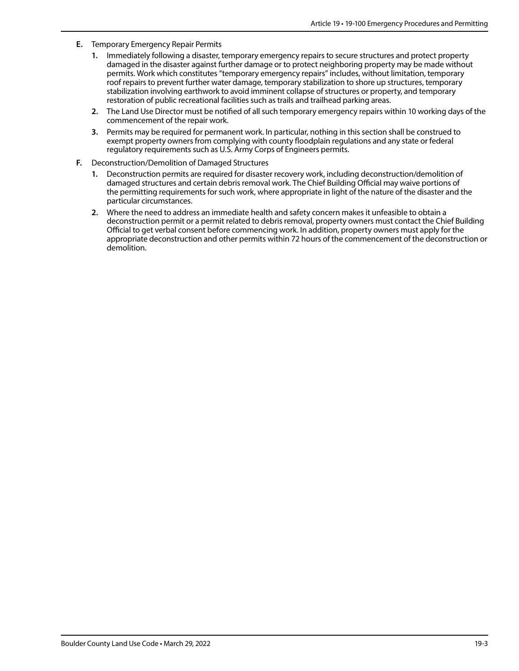- **E.** Temporary Emergency Repair Permits
	- **1.** Immediately following a disaster, temporary emergency repairs to secure structures and protect property damaged in the disaster against further damage or to protect neighboring property may be made without permits. Work which constitutes "temporary emergency repairs" includes, without limitation, temporary roof repairs to prevent further water damage, temporary stabilization to shore up structures, temporary stabilization involving earthwork to avoid imminent collapse of structures or property, and temporary restoration of public recreational facilities such as trails and trailhead parking areas.
	- **2.** The Land Use Director must be notified of all such temporary emergency repairs within 10 working days of the commencement of the repair work.
	- **3.** Permits may be required for permanent work. In particular, nothing in this section shall be construed to exempt property owners from complying with county floodplain regulations and any state or federal regulatory requirements such as U.S. Army Corps of Engineers permits.
- **F.** Deconstruction/Demolition of Damaged Structures
	- **1.** Deconstruction permits are required for disaster recovery work, including deconstruction/demolition of damaged structures and certain debris removal work. The Chief Building Official may waive portions of the permitting requirements for such work, where appropriate in light of the nature of the disaster and the particular circumstances.
	- **2.** Where the need to address an immediate health and safety concern makes it unfeasible to obtain a deconstruction permit or a permit related to debris removal, property owners must contact the Chief Building Official to get verbal consent before commencing work. In addition, property owners must apply for the appropriate deconstruction and other permits within 72 hours of the commencement of the deconstruction or demolition.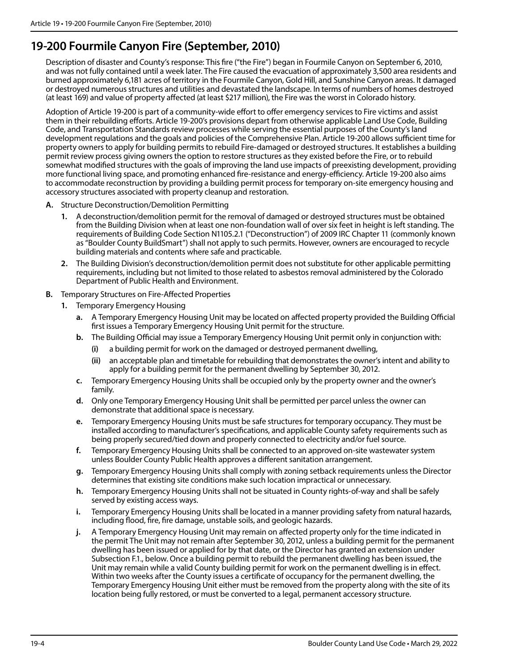#### **19-200 Fourmile Canyon Fire (September, 2010)**

Description of disaster and County's response: This fire ("the Fire") began in Fourmile Canyon on September 6, 2010, and was not fully contained until a week later. The Fire caused the evacuation of approximately 3,500 area residents and burned approximately 6,181 acres of territory in the Fourmile Canyon, Gold Hill, and Sunshine Canyon areas. It damaged or destroyed numerous structures and utilities and devastated the landscape. In terms of numbers of homes destroyed (at least 169) and value of property affected (at least \$217 million), the Fire was the worst in Colorado history.

Adoption of Article 19-200 is part of a community-wide effort to offer emergency services to Fire victims and assist them in their rebuilding efforts. Article 19-200's provisions depart from otherwise applicable Land Use Code, Building Code, and Transportation Standards review processes while serving the essential purposes of the County's land development regulations and the goals and policies of the Comprehensive Plan. Article 19-200 allows sufficient time for property owners to apply for building permits to rebuild Fire-damaged or destroyed structures. It establishes a building permit review process giving owners the option to restore structures as they existed before the Fire, or to rebuild somewhat modified structures with the goals of improving the land use impacts of preexisting development, providing more functional living space, and promoting enhanced fire-resistance and energy-efficiency. Article 19-200 also aims to accommodate reconstruction by providing a building permit process for temporary on-site emergency housing and accessory structures associated with property cleanup and restoration.

- **A.** Structure Deconstruction/Demolition Permitting
	- **1.** A deconstruction/demolition permit for the removal of damaged or destroyed structures must be obtained from the Building Division when at least one non-foundation wall of over six feet in height is left standing. The requirements of Building Code Section N1105.2.1 ("Deconstruction") of 2009 IRC Chapter 11 (commonly known as "Boulder County BuildSmart") shall not apply to such permits. However, owners are encouraged to recycle building materials and contents where safe and practicable.
	- **2.** The Building Division's deconstruction/demolition permit does not substitute for other applicable permitting requirements, including but not limited to those related to asbestos removal administered by the Colorado Department of Public Health and Environment.
- **B.** Temporary Structures on Fire-Affected Properties
	- **1.** Temporary Emergency Housing
		- **a.** A Temporary Emergency Housing Unit may be located on affected property provided the Building Official first issues a Temporary Emergency Housing Unit permit for the structure.
		- **b.** The Building Official may issue a Temporary Emergency Housing Unit permit only in conjunction with:
			- **(i)** a building permit for work on the damaged or destroyed permanent dwelling,
			- **(ii)** an acceptable plan and timetable for rebuilding that demonstrates the owner's intent and ability to apply for a building permit for the permanent dwelling by September 30, 2012.
		- **c.** Temporary Emergency Housing Units shall be occupied only by the property owner and the owner's family.
		- **d.** Only one Temporary Emergency Housing Unit shall be permitted per parcel unless the owner can demonstrate that additional space is necessary.
		- **e.** Temporary Emergency Housing Units must be safe structures for temporary occupancy. They must be installed according to manufacturer's specifications, and applicable County safety requirements such as being properly secured/tied down and properly connected to electricity and/or fuel source.
		- **f.** Temporary Emergency Housing Units shall be connected to an approved on-site wastewater system unless Boulder County Public Health approves a different sanitation arrangement.
		- **g.** Temporary Emergency Housing Units shall comply with zoning setback requirements unless the Director determines that existing site conditions make such location impractical or unnecessary.
		- **h.** Temporary Emergency Housing Units shall not be situated in County rights-of-way and shall be safely served by existing access ways.
		- **i.** Temporary Emergency Housing Units shall be located in a manner providing safety from natural hazards, including flood, fire, fire damage, unstable soils, and geologic hazards.
		- **j.** A Temporary Emergency Housing Unit may remain on affected property only for the time indicated in the permit The Unit may not remain after September 30, 2012, unless a building permit for the permanent dwelling has been issued or applied for by that date, or the Director has granted an extension under Subsection F.1., below. Once a building permit to rebuild the permanent dwelling has been issued, the Unit may remain while a valid County building permit for work on the permanent dwelling is in effect. Within two weeks after the County issues a certificate of occupancy for the permanent dwelling, the Temporary Emergency Housing Unit either must be removed from the property along with the site of its location being fully restored, or must be converted to a legal, permanent accessory structure.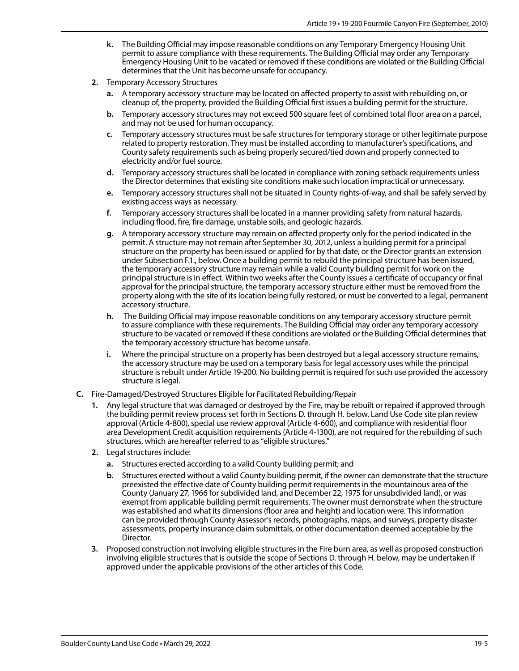- **k.** The Building Official may impose reasonable conditions on any Temporary Emergency Housing Unit permit to assure compliance with these requirements. The Building Official may order any Temporary Emergency Housing Unit to be vacated or removed if these conditions are violated or the Building Official determines that the Unit has become unsafe for occupancy.
- **2.** Temporary Accessory Structures
	- **a.** A temporary accessory structure may be located on affected property to assist with rebuilding on, or cleanup of, the property, provided the Building Official first issues a building permit for the structure.
	- **b.** Temporary accessory structures may not exceed 500 square feet of combined total floor area on a parcel, and may not be used for human occupancy.
	- **c.** Temporary accessory structures must be safe structures for temporary storage or other legitimate purpose related to property restoration. They must be installed according to manufacturer's specifications, and County safety requirements such as being properly secured/tied down and properly connected to electricity and/or fuel source.
	- **d.** Temporary accessory structures shall be located in compliance with zoning setback requirements unless the Director determines that existing site conditions make such location impractical or unnecessary.
	- **e.** Temporary accessory structures shall not be situated in County rights-of-way, and shall be safely served by existing access ways as necessary.
	- **f.** Temporary accessory structures shall be located in a manner providing safety from natural hazards, including flood, fire, fire damage, unstable soils, and geologic hazards.
	- **g.** A temporary accessory structure may remain on affected property only for the period indicated in the permit. A structure may not remain after September 30, 2012, unless a building permit for a principal structure on the property has been issued or applied for by that date, or the Director grants an extension under Subsection F.1., below. Once a building permit to rebuild the principal structure has been issued, the temporary accessory structure may remain while a valid County building permit for work on the principal structure is in effect. Within two weeks after the County issues a certificate of occupancy or final approval for the principal structure, the temporary accessory structure either must be removed from the property along with the site of its location being fully restored, or must be converted to a legal, permanent accessory structure.
	- **h.** The Building Official may impose reasonable conditions on any temporary accessory structure permit to assure compliance with these requirements. The Building Official may order any temporary accessory structure to be vacated or removed if these conditions are violated or the Building Official determines that the temporary accessory structure has become unsafe.
	- **i.** Where the principal structure on a property has been destroyed but a legal accessory structure remains, the accessory structure may be used on a temporary basis for legal accessory uses while the principal structure is rebuilt under Article 19-200. No building permit is required for such use provided the accessory structure is legal.
- **C.** Fire-Damaged/Destroyed Structures Eligible for Facilitated Rebuilding/Repair
	- **1.** Any legal structure that was damaged or destroyed by the Fire, may be rebuilt or repaired if approved through the building permit review process set forth in Sections D. through H. below. Land Use Code site plan review approval (Article 4-800), special use review approval (Article 4-600), and compliance with residential floor area Development Credit acquisition requirements (Article 4-1300), are not required for the rebuilding of such structures, which are hereafter referred to as "eligible structures."
	- **2.** Legal structures include:
		- **a.** Structures erected according to a valid County building permit; and
		- **b.** Structures erected without a valid County building permit, if the owner can demonstrate that the structure preexisted the effective date of County building permit requirements in the mountainous area of the County (January 27, 1966 for subdivided land, and December 22, 1975 for unsubdivided land), or was exempt from applicable building permit requirements. The owner must demonstrate when the structure was established and what its dimensions (floor area and height) and location were. This information can be provided through County Assessor's records, photographs, maps, and surveys, property disaster assessments, property insurance claim submittals, or other documentation deemed acceptable by the Director.
	- **3.** Proposed construction not involving eligible structures in the Fire burn area, as well as proposed construction involving eligible structures that is outside the scope of Sections D. through H. below, may be undertaken if approved under the applicable provisions of the other articles of this Code.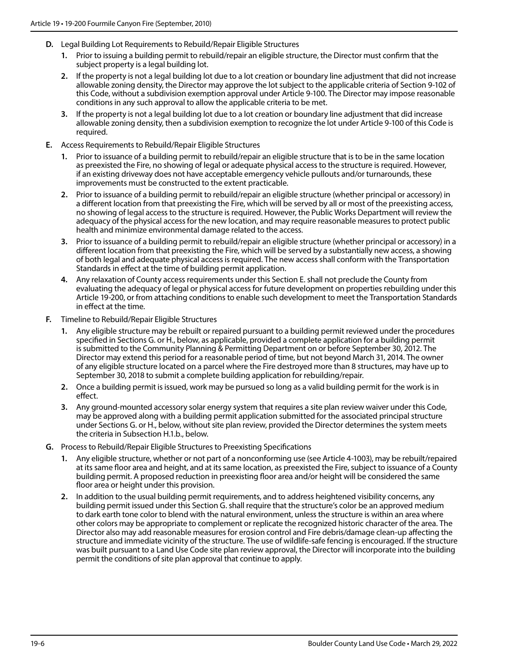- **D.** Legal Building Lot Requirements to Rebuild/Repair Eligible Structures
	- **1.** Prior to issuing a building permit to rebuild/repair an eligible structure, the Director must confirm that the subject property is a legal building lot.
	- **2.** If the property is not a legal building lot due to a lot creation or boundary line adjustment that did not increase allowable zoning density, the Director may approve the lot subject to the applicable criteria of Section 9-102 of this Code, without a subdivision exemption approval under Article 9-100. The Director may impose reasonable conditions in any such approval to allow the applicable criteria to be met.
	- **3.** If the property is not a legal building lot due to a lot creation or boundary line adjustment that did increase allowable zoning density, then a subdivision exemption to recognize the lot under Article 9-100 of this Code is required.
- **E.** Access Requirements to Rebuild/Repair Eligible Structures
	- **1.** Prior to issuance of a building permit to rebuild/repair an eligible structure that is to be in the same location as preexisted the Fire, no showing of legal or adequate physical access to the structure is required. However, if an existing driveway does not have acceptable emergency vehicle pullouts and/or turnarounds, these improvements must be constructed to the extent practicable.
	- **2.** Prior to issuance of a building permit to rebuild/repair an eligible structure (whether principal or accessory) in a different location from that preexisting the Fire, which will be served by all or most of the preexisting access, no showing of legal access to the structure is required. However, the Public Works Department will review the adequacy of the physical access for the new location, and may require reasonable measures to protect public health and minimize environmental damage related to the access.
	- **3.** Prior to issuance of a building permit to rebuild/repair an eligible structure (whether principal or accessory) in a different location from that preexisting the Fire, which will be served by a substantially new access, a showing of both legal and adequate physical access is required. The new access shall conform with the Transportation Standards in effect at the time of building permit application.
	- **4.** Any relaxation of County access requirements under this Section E. shall not preclude the County from evaluating the adequacy of legal or physical access for future development on properties rebuilding under this Article 19-200, or from attaching conditions to enable such development to meet the Transportation Standards in effect at the time.
- **F.** Timeline to Rebuild/Repair Eligible Structures
	- **1.** Any eligible structure may be rebuilt or repaired pursuant to a building permit reviewed under the procedures specified in Sections G. or H., below, as applicable, provided a complete application for a building permit is submitted to the Community Planning & Permitting Department on or before September 30, 2012. The Director may extend this period for a reasonable period of time, but not beyond March 31, 2014. The owner of any eligible structure located on a parcel where the Fire destroyed more than 8 structures, may have up to September 30, 2018 to submit a complete building application for rebuilding/repair.
	- **2.** Once a building permit is issued, work may be pursued so long as a valid building permit for the work is in effect.
	- **3.** Any ground-mounted accessory solar energy system that requires a site plan review waiver under this Code, may be approved along with a building permit application submitted for the associated principal structure under Sections G. or H., below, without site plan review, provided the Director determines the system meets the criteria in Subsection H.1.b., below.
- **G.** Process to Rebuild/Repair Eligible Structures to Preexisting Specifications
	- **1.** Any eligible structure, whether or not part of a nonconforming use (see Article 4-1003), may be rebuilt/repaired at its same floor area and height, and at its same location, as preexisted the Fire, subject to issuance of a County building permit. A proposed reduction in preexisting floor area and/or height will be considered the same floor area or height under this provision.
	- **2.** In addition to the usual building permit requirements, and to address heightened visibility concerns, any building permit issued under this Section G. shall require that the structure's color be an approved medium to dark earth tone color to blend with the natural environment, unless the structure is within an area where other colors may be appropriate to complement or replicate the recognized historic character of the area. The Director also may add reasonable measures for erosion control and Fire debris/damage clean-up affecting the structure and immediate vicinity of the structure. The use of wildlife-safe fencing is encouraged. If the structure was built pursuant to a Land Use Code site plan review approval, the Director will incorporate into the building permit the conditions of site plan approval that continue to apply.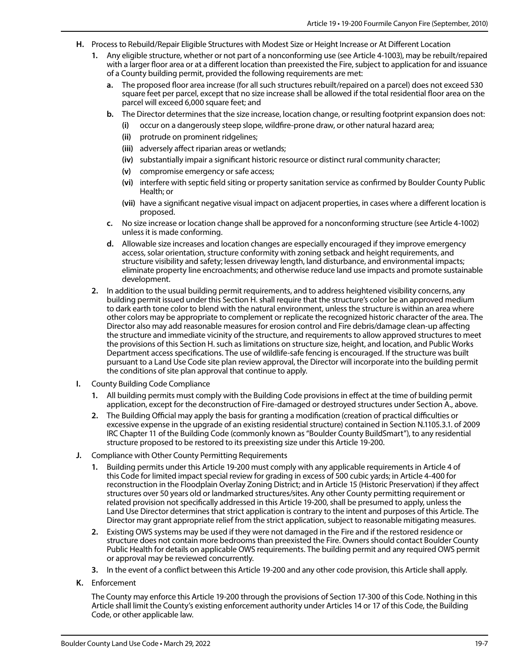- **H.** Process to Rebuild/Repair Eligible Structures with Modest Size or Height Increase or At Different Location
	- **1.** Any eligible structure, whether or not part of a nonconforming use (see Article 4-1003), may be rebuilt/repaired with a larger floor area or at a different location than preexisted the Fire, subject to application for and issuance of a County building permit, provided the following requirements are met:
		- **a.** The proposed floor area increase (for all such structures rebuilt/repaired on a parcel) does not exceed 530 square feet per parcel, except that no size increase shall be allowed if the total residential floor area on the parcel will exceed 6,000 square feet; and
		- **b.** The Director determines that the size increase, location change, or resulting footprint expansion does not:
			- **(i)** occur on a dangerously steep slope, wildfire-prone draw, or other natural hazard area;
			- **(ii)** protrude on prominent ridgelines;
			- **(iii)** adversely affect riparian areas or wetlands;
			- **(iv)** substantially impair a significant historic resource or distinct rural community character;
			- **(v)** compromise emergency or safe access;
			- **(vi)** interfere with septic field siting or property sanitation service as confirmed by Boulder County Public Health; or
			- **(vii)** have a significant negative visual impact on adjacent properties, in cases where a different location is proposed.
		- **c.** No size increase or location change shall be approved for a nonconforming structure (see Article 4-1002) unless it is made conforming.
		- **d.** Allowable size increases and location changes are especially encouraged if they improve emergency access, solar orientation, structure conformity with zoning setback and height requirements, and structure visibility and safety; lessen driveway length, land disturbance, and environmental impacts; eliminate property line encroachments; and otherwise reduce land use impacts and promote sustainable development.
	- **2.** In addition to the usual building permit requirements, and to address heightened visibility concerns, any building permit issued under this Section H. shall require that the structure's color be an approved medium to dark earth tone color to blend with the natural environment, unless the structure is within an area where other colors may be appropriate to complement or replicate the recognized historic character of the area. The Director also may add reasonable measures for erosion control and Fire debris/damage clean-up affecting the structure and immediate vicinity of the structure, and requirements to allow approved structures to meet the provisions of this Section H. such as limitations on structure size, height, and location, and Public Works Department access specifications. The use of wildlife-safe fencing is encouraged. If the structure was built pursuant to a Land Use Code site plan review approval, the Director will incorporate into the building permit the conditions of site plan approval that continue to apply.
- **I.** County Building Code Compliance
	- **1.** All building permits must comply with the Building Code provisions in effect at the time of building permit application, except for the deconstruction of Fire-damaged or destroyed structures under Section A., above.
	- **2.** The Building Official may apply the basis for granting a modification (creation of practical difficulties or excessive expense in the upgrade of an existing residential structure) contained in Section N.1105.3.1. of 2009 IRC Chapter 11 of the Building Code (commonly known as "Boulder County BuildSmart"), to any residential structure proposed to be restored to its preexisting size under this Article 19-200.
- **J.** Compliance with Other County Permitting Requirements
	- **1.** Building permits under this Article 19-200 must comply with any applicable requirements in Article 4 of this Code for limited impact special review for grading in excess of 500 cubic yards; in Article 4-400 for reconstruction in the Floodplain Overlay Zoning District; and in Article 15 (Historic Preservation) if they affect structures over 50 years old or landmarked structures/sites. Any other County permitting requirement or related provision not specifically addressed in this Article 19-200, shall be presumed to apply, unless the Land Use Director determines that strict application is contrary to the intent and purposes of this Article. The Director may grant appropriate relief from the strict application, subject to reasonable mitigating measures.
	- **2.** Existing OWS systems may be used if they were not damaged in the Fire and if the restored residence or structure does not contain more bedrooms than preexisted the Fire. Owners should contact Boulder County Public Health for details on applicable OWS requirements. The building permit and any required OWS permit or approval may be reviewed concurrently.
	- **3.** In the event of a conflict between this Article 19-200 and any other code provision, this Article shall apply.
- **K.** Enforcement

The County may enforce this Article 19-200 through the provisions of Section 17-300 of this Code. Nothing in this Article shall limit the County's existing enforcement authority under Articles 14 or 17 of this Code, the Building Code, or other applicable law.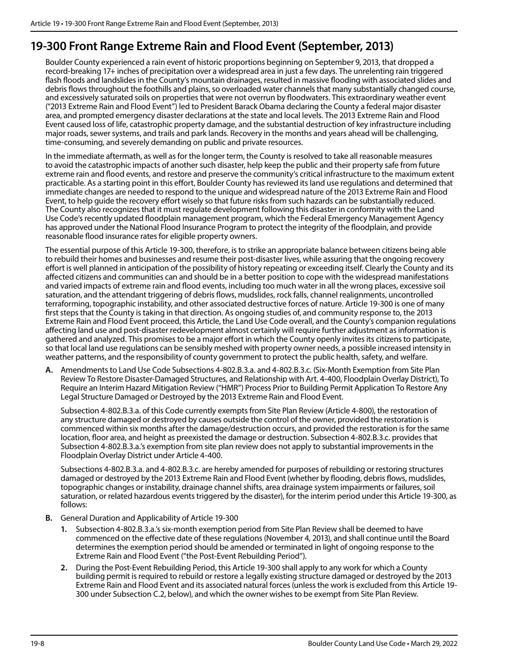#### **19-300 Front Range Extreme Rain and Flood Event (September, 2013)**

Boulder County experienced a rain event of historic proportions beginning on September 9, 2013, that dropped a record-breaking 17+ inches of precipitation over a widespread area in just a few days. The unrelenting rain triggered flash floods and landslides in the County's mountain drainages, resulted in massive flooding with associated slides and debris flows throughout the foothills and plains, so overloaded water channels that many substantially changed course, and excessively saturated soils on properties that were not overrun by floodwaters. This extraordinary weather event ("2013 Extreme Rain and Flood Event") led to President Barack Obama declaring the County a federal major disaster area, and prompted emergency disaster declarations at the state and local levels. The 2013 Extreme Rain and Flood Event caused loss of life, catastrophic property damage, and the substantial destruction of key infrastructure including major roads, sewer systems, and trails and park lands. Recovery in the months and years ahead will be challenging, time-consuming, and severely demanding on public and private resources.

In the immediate aftermath, as well as for the longer term, the County is resolved to take all reasonable measures to avoid the catastrophic impacts of another such disaster, help keep the public and their property safe from future extreme rain and flood events, and restore and preserve the community's critical infrastructure to the maximum extent practicable. As a starting point in this effort, Boulder County has reviewed its land use regulations and determined that immediate changes are needed to respond to the unique and widespread nature of the 2013 Extreme Rain and Flood Event, to help guide the recovery effort wisely so that future risks from such hazards can be substantially reduced. The County also recognizes that it must regulate development following this disaster in conformity with the Land Use Code's recently updated floodplain management program, which the Federal Emergency Management Agency has approved under the National Flood Insurance Program to protect the integrity of the floodplain, and provide reasonable flood insurance rates for eligible property owners.

The essential purpose of this Article 19-300, therefore, is to strike an appropriate balance between citizens being able to rebuild their homes and businesses and resume their post-disaster lives, while assuring that the ongoing recovery effort is well planned in anticipation of the possibility of history repeating or exceeding itself. Clearly the County and its affected citizens and communities can and should be in a better position to cope with the widespread manifestations and varied impacts of extreme rain and flood events, including too much water in all the wrong places, excessive soil saturation, and the attendant triggering of debris flows, mudslides, rock falls, channel realignments, uncontrolled terraforming, topographic instability, and other associated destructive forces of nature. Article 19-300 is one of many first steps that the County is taking in that direction. As ongoing studies of, and community response to, the 2013 Extreme Rain and Flood Event proceed, this Article, the Land Use Code overall, and the County's companion regulations affecting land use and post-disaster redevelopment almost certainly will require further adjustment as information is gathered and analyzed. This promises to be a major effort in which the County openly invites its citizens to participate, so that local land use regulations can be sensibly meshed with property owner needs, a possible increased intensity in weather patterns, and the responsibility of county government to protect the public health, safety, and welfare.

**A.** Amendments to Land Use Code Subsections 4-802.B.3.a. and 4-802.B.3.c. (Six-Month Exemption from Site Plan Review To Restore Disaster-Damaged Structures, and Relationship with Art. 4-400, Floodplain Overlay District), To Require an Interim Hazard Mitigation Review ("HMR") Process Prior to Building Permit Application To Restore Any Legal Structure Damaged or Destroyed by the 2013 Extreme Rain and Flood Event.

Subsection 4-802.B.3.a. of this Code currently exempts from Site Plan Review (Article 4-800), the restoration of any structure damaged or destroyed by causes outside the control of the owner, provided the restoration is commenced within six months after the damage/destruction occurs, and provided the restoration is for the same location, floor area, and height as preexisted the damage or destruction. Subsection 4-802.B.3.c. provides that Subsection 4-802.B.3.a.'s exemption from site plan review does not apply to substantial improvements in the Floodplain Overlay District under Article 4-400.

Subsections 4-802.B.3.a. and 4-802.B.3.c. are hereby amended for purposes of rebuilding or restoring structures damaged or destroyed by the 2013 Extreme Rain and Flood Event (whether by flooding, debris flows, mudslides, topographic changes or instability, drainage channel shifts, area drainage system impairments or failures, soil saturation, or related hazardous events triggered by the disaster), for the interim period under this Article 19-300, as follows:

- **B.** General Duration and Applicability of Article 19-300
	- **1.** Subsection 4-802.B.3.a.'s six-month exemption period from Site Plan Review shall be deemed to have commenced on the effective date of these regulations (November 4, 2013), and shall continue until the Board determines the exemption period should be amended or terminated in light of ongoing response to the Extreme Rain and Flood Event ("the Post-Event Rebuilding Period").
	- **2.** During the Post-Event Rebuilding Period, this Article 19-300 shall apply to any work for which a County building permit is required to rebuild or restore a legally existing structure damaged or destroyed by the 2013 Extreme Rain and Flood Event and its associated natural forces (unless the work is excluded from this Article 19- 300 under Subsection C.2, below), and which the owner wishes to be exempt from Site Plan Review.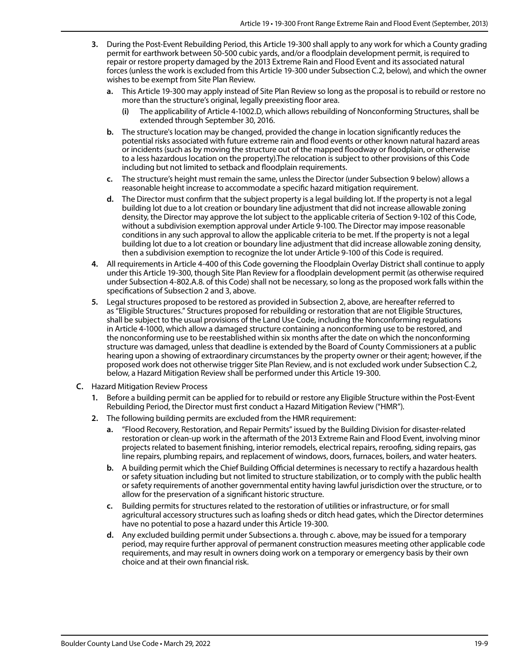- **3.** During the Post-Event Rebuilding Period, this Article 19-300 shall apply to any work for which a County grading permit for earthwork between 50-500 cubic yards, and/or a floodplain development permit, is required to repair or restore property damaged by the 2013 Extreme Rain and Flood Event and its associated natural forces (unless the work is excluded from this Article 19-300 under Subsection C.2, below), and which the owner wishes to be exempt from Site Plan Review.
	- **a.** This Article 19-300 may apply instead of Site Plan Review so long as the proposal is to rebuild or restore no more than the structure's original, legally preexisting floor area.
		- **(i)** The applicability of Article 4-1002.D, which allows rebuilding of Nonconforming Structures, shall be extended through September 30, 2016.
	- **b.** The structure's location may be changed, provided the change in location significantly reduces the potential risks associated with future extreme rain and flood events or other known natural hazard areas or incidents (such as by moving the structure out of the mapped floodway or floodplain, or otherwise to a less hazardous location on the property).The relocation is subject to other provisions of this Code including but not limited to setback and floodplain requirements.
	- **c.** The structure's height must remain the same, unless the Director (under Subsection 9 below) allows a reasonable height increase to accommodate a specific hazard mitigation requirement.
	- **d.** The Director must confirm that the subject property is a legal building lot. If the property is not a legal building lot due to a lot creation or boundary line adjustment that did not increase allowable zoning density, the Director may approve the lot subject to the applicable criteria of Section 9-102 of this Code, without a subdivision exemption approval under Article 9-100. The Director may impose reasonable conditions in any such approval to allow the applicable criteria to be met. If the property is not a legal building lot due to a lot creation or boundary line adjustment that did increase allowable zoning density, then a subdivision exemption to recognize the lot under Article 9-100 of this Code is required.
- **4.** All requirements in Article 4-400 of this Code governing the Floodplain Overlay District shall continue to apply under this Article 19-300, though Site Plan Review for a floodplain development permit (as otherwise required under Subsection 4-802.A.8. of this Code) shall not be necessary, so long as the proposed work falls within the specifications of Subsection 2 and 3, above.
- **5.** Legal structures proposed to be restored as provided in Subsection 2, above, are hereafter referred to as "Eligible Structures." Structures proposed for rebuilding or restoration that are not Eligible Structures, shall be subject to the usual provisions of the Land Use Code, including the Nonconforming regulations in Article 4-1000, which allow a damaged structure containing a nonconforming use to be restored, and the nonconforming use to be reestablished within six months after the date on which the nonconforming structure was damaged, unless that deadline is extended by the Board of County Commissioners at a public hearing upon a showing of extraordinary circumstances by the property owner or their agent; however, if the proposed work does not otherwise trigger Site Plan Review, and is not excluded work under Subsection C.2, below, a Hazard Mitigation Review shall be performed under this Article 19-300.
- **C.** Hazard Mitigation Review Process
	- **1.** Before a building permit can be applied for to rebuild or restore any Eligible Structure within the Post-Event Rebuilding Period, the Director must first conduct a Hazard Mitigation Review ("HMR").
	- **2.** The following building permits are excluded from the HMR requirement:
		- **a.** "Flood Recovery, Restoration, and Repair Permits" issued by the Building Division for disaster-related restoration or clean-up work in the aftermath of the 2013 Extreme Rain and Flood Event, involving minor projects related to basement finishing, interior remodels, electrical repairs, reroofing, siding repairs, gas line repairs, plumbing repairs, and replacement of windows, doors, furnaces, boilers, and water heaters.
		- **b.** A building permit which the Chief Building Official determines is necessary to rectify a hazardous health or safety situation including but not limited to structure stabilization, or to comply with the public health or safety requirements of another governmental entity having lawful jurisdiction over the structure, or to allow for the preservation of a significant historic structure.
		- **c.** Building permits for structures related to the restoration of utilities or infrastructure, or for small agricultural accessory structures such as loafing sheds or ditch head gates, which the Director determines have no potential to pose a hazard under this Article 19-300.
		- **d.** Any excluded building permit under Subsections a. through c. above, may be issued for a temporary period, may require further approval of permanent construction measures meeting other applicable code requirements, and may result in owners doing work on a temporary or emergency basis by their own choice and at their own financial risk.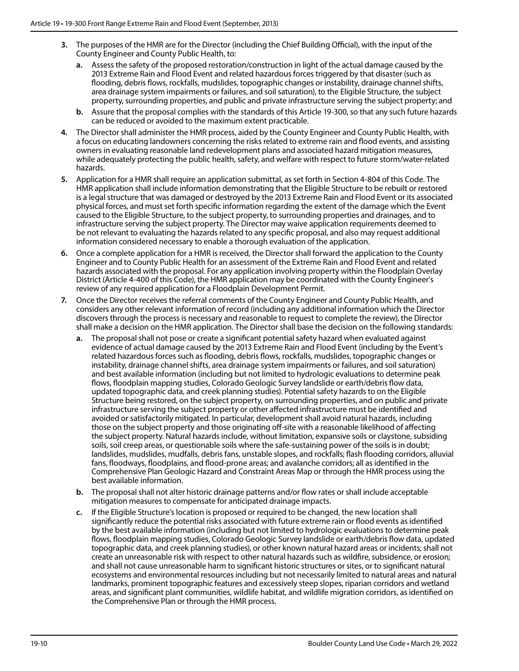- **3.** The purposes of the HMR are for the Director (including the Chief Building Official), with the input of the County Engineer and County Public Health, to:
	- **a.** Assess the safety of the proposed restoration/construction in light of the actual damage caused by the 2013 Extreme Rain and Flood Event and related hazardous forces triggered by that disaster (such as flooding, debris flows, rockfalls, mudslides, topographic changes or instability, drainage channel shifts, area drainage system impairments or failures, and soil saturation), to the Eligible Structure, the subject property, surrounding properties, and public and private infrastructure serving the subject property; and
	- **b.** Assure that the proposal complies with the standards of this Article 19-300, so that any such future hazards can be reduced or avoided to the maximum extent practicable.
- **4.** The Director shall administer the HMR process, aided by the County Engineer and County Public Health, with a focus on educating landowners concerning the risks related to extreme rain and flood events, and assisting owners in evaluating reasonable land redevelopment plans and associated hazard mitigation measures, while adequately protecting the public health, safety, and welfare with respect to future storm/water-related hazards.
- **5.** Application for a HMR shall require an application submittal, as set forth in Section 4-804 of this Code. The HMR application shall include information demonstrating that the Eligible Structure to be rebuilt or restored is a legal structure that was damaged or destroyed by the 2013 Extreme Rain and Flood Event or its associated physical forces, and must set forth specific information regarding the extent of the damage which the Event caused to the Eligible Structure, to the subject property, to surrounding properties and drainages, and to infrastructure serving the subject property. The Director may waive application requirements deemed to be not relevant to evaluating the hazards related to any specific proposal, and also may request additional information considered necessary to enable a thorough evaluation of the application.
- **6.** Once a complete application for a HMR is received, the Director shall forward the application to the County Engineer and to County Public Health for an assessment of the Extreme Rain and Flood Event and related hazards associated with the proposal. For any application involving property within the Floodplain Overlay District (Article 4-400 of this Code), the HMR application may be coordinated with the County Engineer's review of any required application for a Floodplain Development Permit.
- **7.** Once the Director receives the referral comments of the County Engineer and County Public Health, and considers any other relevant information of record (including any additional information which the Director discovers through the process is necessary and reasonable to request to complete the review), the Director shall make a decision on the HMR application. The Director shall base the decision on the following standards:
	- **a.** The proposal shall not pose or create a significant potential safety hazard when evaluated against evidence of actual damage caused by the 2013 Extreme Rain and Flood Event (including by the Event's related hazardous forces such as flooding, debris flows, rockfalls, mudslides, topographic changes or instability, drainage channel shifts, area drainage system impairments or failures, and soil saturation) and best available information (including but not limited to hydrologic evaluations to determine peak flows, floodplain mapping studies, Colorado Geologic Survey landslide or earth/debris flow data, updated topographic data, and creek planning studies). Potential safety hazards to on the Eligible Structure being restored, on the subject property, on surrounding properties, and on public and private infrastructure serving the subject property or other affected infrastructure must be identified and avoided or satisfactorily mitigated. In particular, development shall avoid natural hazards, including those on the subject property and those originating off-site with a reasonable likelihood of affecting the subject property. Natural hazards include, without limitation, expansive soils or claystone, subsiding soils, soil creep areas, or questionable soils where the safe-sustaining power of the soils is in doubt; landslides, mudslides, mudfalls, debris fans, unstable slopes, and rockfalls; flash flooding corridors, alluvial fans, floodways, floodplains, and flood-prone areas; and avalanche corridors; all as identified in the Comprehensive Plan Geologic Hazard and Constraint Areas Map or through the HMR process using the best available information.
	- **b.** The proposal shall not alter historic drainage patterns and/or flow rates or shall include acceptable mitigation measures to compensate for anticipated drainage impacts.
	- **c.** If the Eligible Structure's location is proposed or required to be changed, the new location shall significantly reduce the potential risks associated with future extreme rain or flood events as identified by the best available information (including but not limited to hydrologic evaluations to determine peak flows, floodplain mapping studies, Colorado Geologic Survey landslide or earth/debris flow data, updated topographic data, and creek planning studies), or other known natural hazard areas or incidents; shall not create an unreasonable risk with respect to other natural hazards such as wildfire, subsidence, or erosion; and shall not cause unreasonable harm to significant historic structures or sites, or to significant natural ecosystems and environmental resources including but not necessarily limited to natural areas and natural landmarks, prominent topographic features and excessively steep slopes, riparian corridors and wetland areas, and significant plant communities, wildlife habitat, and wildlife migration corridors, as identified on the Comprehensive Plan or through the HMR process.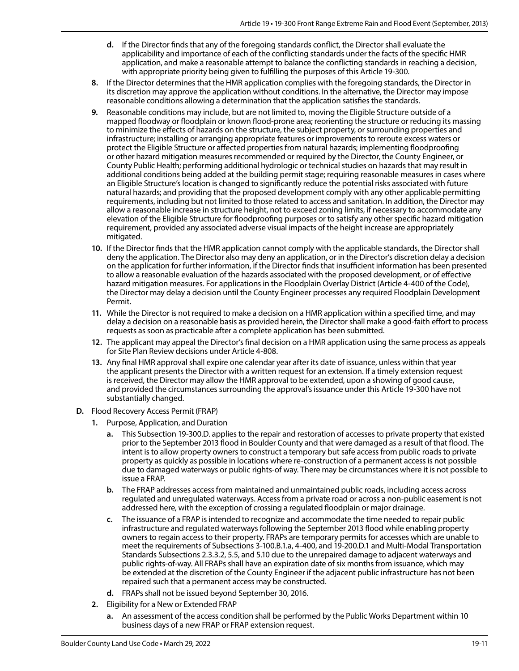- **d.** If the Director finds that any of the foregoing standards conflict, the Director shall evaluate the applicability and importance of each of the conflicting standards under the facts of the specific HMR application, and make a reasonable attempt to balance the conflicting standards in reaching a decision, with appropriate priority being given to fulfilling the purposes of this Article 19-300.
- **8.** If the Director determines that the HMR application complies with the foregoing standards, the Director in its discretion may approve the application without conditions. In the alternative, the Director may impose reasonable conditions allowing a determination that the application satisfies the standards.
- **9.** Reasonable conditions may include, but are not limited to, moving the Eligible Structure outside of a mapped floodway or floodplain or known flood-prone area; reorienting the structure or reducing its massing to minimize the effects of hazards on the structure, the subject property, or surrounding properties and infrastructure; installing or arranging appropriate features or improvements to reroute excess waters or protect the Eligible Structure or affected properties from natural hazards; implementing floodproofing or other hazard mitigation measures recommended or required by the Director, the County Engineer, or County Public Health; performing additional hydrologic or technical studies on hazards that may result in additional conditions being added at the building permit stage; requiring reasonable measures in cases where an Eligible Structure's location is changed to significantly reduce the potential risks associated with future natural hazards; and providing that the proposed development comply with any other applicable permitting requirements, including but not limited to those related to access and sanitation. In addition, the Director may allow a reasonable increase in structure height, not to exceed zoning limits, if necessary to accommodate any elevation of the Eligible Structure for floodproofing purposes or to satisfy any other specific hazard mitigation requirement, provided any associated adverse visual impacts of the height increase are appropriately mitigated.
- **10.** If the Director finds that the HMR application cannot comply with the applicable standards, the Director shall deny the application. The Director also may deny an application, or in the Director's discretion delay a decision on the application for further information, if the Director finds that insufficient information has been presented to allow a reasonable evaluation of the hazards associated with the proposed development, or of effective hazard mitigation measures. For applications in the Floodplain Overlay District (Article 4-400 of the Code), the Director may delay a decision until the County Engineer processes any required Floodplain Development Permit.
- **11.** While the Director is not required to make a decision on a HMR application within a specified time, and may delay a decision on a reasonable basis as provided herein, the Director shall make a good-faith effort to process requests as soon as practicable after a complete application has been submitted.
- **12.** The applicant may appeal the Director's final decision on a HMR application using the same process as appeals for Site Plan Review decisions under Article 4-808.
- **13.** Any final HMR approval shall expire one calendar year after its date of issuance, unless within that year the applicant presents the Director with a written request for an extension. If a timely extension request is received, the Director may allow the HMR approval to be extended, upon a showing of good cause, and provided the circumstances surrounding the approval's issuance under this Article 19-300 have not substantially changed.
- **D.** Flood Recovery Access Permit (FRAP)
	- **1.** Purpose, Application, and Duration
		- **a.** This Subsection 19-300.D. applies to the repair and restoration of accesses to private property that existed prior to the September 2013 flood in Boulder County and that were damaged as a result of that flood. The intent is to allow property owners to construct a temporary but safe access from public roads to private property as quickly as possible in locations where re-construction of a permanent access is not possible due to damaged waterways or public rights-of way. There may be circumstances where it is not possible to issue a FRAP.
		- **b.** The FRAP addresses access from maintained and unmaintained public roads, including access across regulated and unregulated waterways. Access from a private road or across a non-public easement is not addressed here, with the exception of crossing a regulated floodplain or major drainage.
		- **c.** The issuance of a FRAP is intended to recognize and accommodate the time needed to repair public infrastructure and regulated waterways following the September 2013 flood while enabling property owners to regain access to their property. FRAPs are temporary permits for accesses which are unable to meet the requirements of Subsections 3-100.B.1.a, 4-400, and 19-200.D.1 and Multi-Modal Transportation Standards Subsections 2.3.3.2, 5.5, and 5.10 due to the unrepaired damage to adjacent waterways and public rights-of-way. All FRAPs shall have an expiration date of six months from issuance, which may be extended at the discretion of the County Engineer if the adjacent public infrastructure has not been repaired such that a permanent access may be constructed.
		- **d.** FRAPs shall not be issued beyond September 30, 2016.
	- **2.** Eligibility for a New or Extended FRAP
		- **a.** An assessment of the access condition shall be performed by the Public Works Department within 10 business days of a new FRAP or FRAP extension request.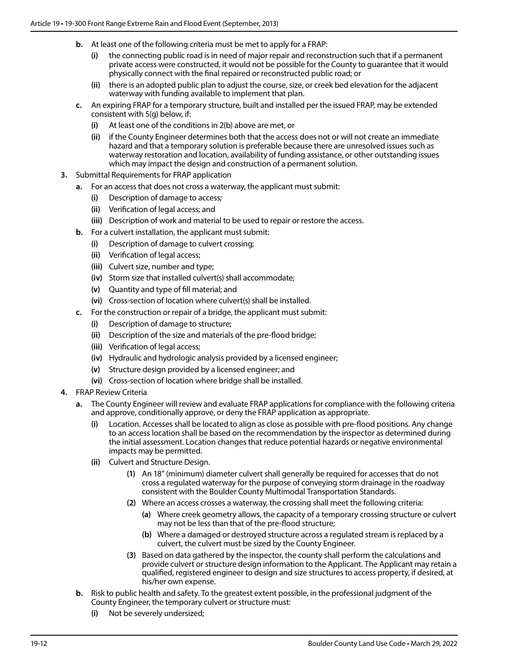- **b.** At least one of the following criteria must be met to apply for a FRAP:
	- **(i)** the connecting public road is in need of major repair and reconstruction such that if a permanent private access were constructed, it would not be possible for the County to guarantee that it would physically connect with the final repaired or reconstructed public road; or
	- **(ii)** there is an adopted public plan to adjust the course, size, or creek bed elevation for the adjacent waterway with funding available to implement that plan.
- **c.** An expiring FRAP for a temporary structure, built and installed per the issued FRAP, may be extended consistent with 5(g) below, if:
	- **(i)** At least one of the conditions in 2(b) above are met, or
	- **(ii)** if the County Engineer determines both that the access does not or will not create an immediate hazard and that a temporary solution is preferable because there are unresolved issues such as waterway restoration and location, availability of funding assistance, or other outstanding issues which may impact the design and construction of a permanent solution.
- **3.** Submittal Requirements for FRAP application
	- **a.** For an access that does not cross a waterway, the applicant must submit:
		- **(i)** Description of damage to access;
		- **(ii)** Verification of legal access; and
		- **(iii)** Description of work and material to be used to repair or restore the access.
	- **b.** For a culvert installation, the applicant must submit:
		- **(i)** Description of damage to culvert crossing;
		- **(ii)** Verification of legal access;
		- **(iii)** Culvert size, number and type;
		- **(iv)** Storm size that installed culvert(s) shall accommodate;
		- **(v)** Quantity and type of fill material; and
		- **(vi)** Cross-section of location where culvert(s) shall be installed.
	- **c.** For the construction or repair of a bridge, the applicant must submit:
		- **(i)** Description of damage to structure;
		- **(ii)** Description of the size and materials of the pre-flood bridge;
		- **(iii)** Verification of legal access;
		- **(iv)** Hydraulic and hydrologic analysis provided by a licensed engineer;
		- **(v)** Structure design provided by a licensed engineer; and
		- **(vi)** Cross-section of location where bridge shall be installed.
- **4.** FRAP Review Criteria
	- **a.** The County Engineer will review and evaluate FRAP applications for compliance with the following criteria and approve, conditionally approve, or deny the FRAP application as appropriate.
		- **(i)** Location. Accesses shall be located to align as close as possible with pre-flood positions. Any change to an access location shall be based on the recommendation by the inspector as determined during the initial assessment. Location changes that reduce potential hazards or negative environmental impacts may be permitted.
		- **(ii)** Culvert and Structure Design.
			- **(1)** An 18" (minimum) diameter culvert shall generally be required for accesses that do not cross a regulated waterway for the purpose of conveying storm drainage in the roadway consistent with the Boulder County Multimodal Transportation Standards.
			- **(2)** Where an access crosses a waterway, the crossing shall meet the following criteria:
				- **(a)** Where creek geometry allows, the capacity of a temporary crossing structure or culvert may not be less than that of the pre-flood structure;
				- **(b)** Where a damaged or destroyed structure across a regulated stream is replaced by a culvert, the culvert must be sized by the County Engineer.
			- **(3)** Based on data gathered by the inspector, the county shall perform the calculations and provide culvert or structure design information to the Applicant. The Applicant may retain a qualified, registered engineer to design and size structures to access property, if desired, at his/her own expense.
	- **b.** Risk to public health and safety. To the greatest extent possible, in the professional judgment of the County Engineer, the temporary culvert or structure must:
		- **(i)** Not be severely undersized;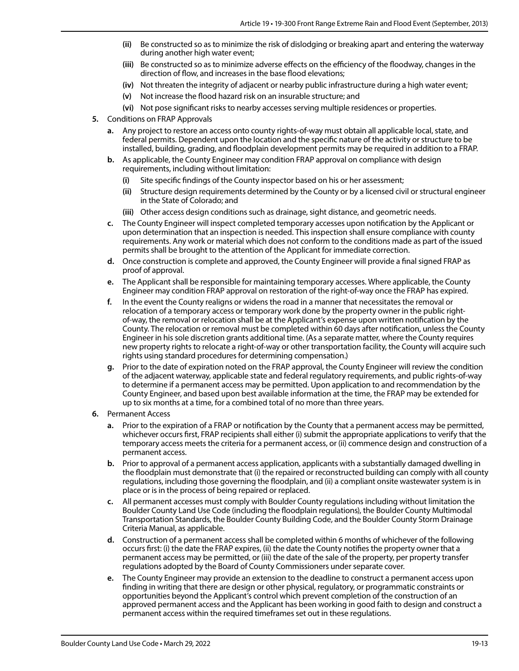- **(ii)** Be constructed so as to minimize the risk of dislodging or breaking apart and entering the waterway during another high water event;
- **(iii)** Be constructed so as to minimize adverse effects on the efficiency of the floodway, changes in the direction of flow, and increases in the base flood elevations;
- **(iv)** Not threaten the integrity of adjacent or nearby public infrastructure during a high water event;
- **(v)** Not increase the flood hazard risk on an insurable structure; and
- **(vi)** Not pose significant risks to nearby accesses serving multiple residences or properties.
- **5.** Conditions on FRAP Approvals
	- **a.** Any project to restore an access onto county rights-of-way must obtain all applicable local, state, and federal permits. Dependent upon the location and the specific nature of the activity or structure to be installed, building, grading, and floodplain development permits may be required in addition to a FRAP.
	- **b.** As applicable, the County Engineer may condition FRAP approval on compliance with design requirements, including without limitation:
		- **(i)** Site specific findings of the County inspector based on his or her assessment;
		- **(ii)** Structure design requirements determined by the County or by a licensed civil or structural engineer in the State of Colorado; and
		- **(iii)** Other access design conditions such as drainage, sight distance, and geometric needs.
	- **c.** The County Engineer will inspect completed temporary accesses upon notification by the Applicant or upon determination that an inspection is needed. This inspection shall ensure compliance with county requirements. Any work or material which does not conform to the conditions made as part of the issued permits shall be brought to the attention of the Applicant for immediate correction.
	- **d.** Once construction is complete and approved, the County Engineer will provide a final signed FRAP as proof of approval.
	- **e.** The Applicant shall be responsible for maintaining temporary accesses. Where applicable, the County Engineer may condition FRAP approval on restoration of the right-of-way once the FRAP has expired.
	- **f.** In the event the County realigns or widens the road in a manner that necessitates the removal or relocation of a temporary access or temporary work done by the property owner in the public rightof-way, the removal or relocation shall be at the Applicant's expense upon written notification by the County. The relocation or removal must be completed within 60 days after notification, unless the County Engineer in his sole discretion grants additional time. (As a separate matter, where the County requires new property rights to relocate a right-of-way or other transportation facility, the County will acquire such rights using standard procedures for determining compensation.)
	- **g.** Prior to the date of expiration noted on the FRAP approval, the County Engineer will review the condition of the adjacent waterway, applicable state and federal regulatory requirements, and public rights-of-way to determine if a permanent access may be permitted. Upon application to and recommendation by the County Engineer, and based upon best available information at the time, the FRAP may be extended for up to six months at a time, for a combined total of no more than three years.
- **6.** Permanent Access
	- **a.** Prior to the expiration of a FRAP or notification by the County that a permanent access may be permitted, whichever occurs first, FRAP recipients shall either (i) submit the appropriate applications to verify that the temporary access meets the criteria for a permanent access, or (ii) commence design and construction of a permanent access.
	- **b.** Prior to approval of a permanent access application, applicants with a substantially damaged dwelling in the floodplain must demonstrate that (i) the repaired or reconstructed building can comply with all county regulations, including those governing the floodplain, and (ii) a compliant onsite wastewater system is in place or is in the process of being repaired or replaced.
	- **c.** All permanent accesses must comply with Boulder County regulations including without limitation the Boulder County Land Use Code (including the floodplain regulations), the Boulder County Multimodal Transportation Standards, the Boulder County Building Code, and the Boulder County Storm Drainage Criteria Manual, as applicable.
	- **d.** Construction of a permanent access shall be completed within 6 months of whichever of the following occurs first: (i) the date the FRAP expires, (ii) the date the County notifies the property owner that a permanent access may be permitted, or (iii) the date of the sale of the property, per property transfer regulations adopted by the Board of County Commissioners under separate cover.
	- **e.** The County Engineer may provide an extension to the deadline to construct a permanent access upon finding in writing that there are design or other physical, regulatory, or programmatic constraints or opportunities beyond the Applicant's control which prevent completion of the construction of an approved permanent access and the Applicant has been working in good faith to design and construct a permanent access within the required timeframes set out in these regulations.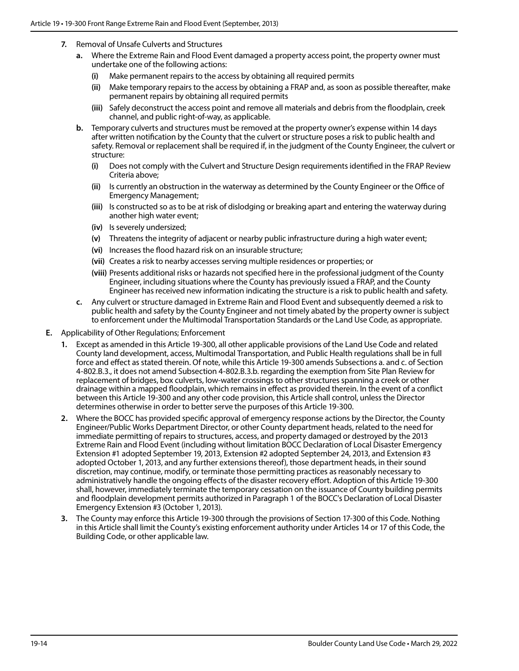- **7.** Removal of Unsafe Culverts and Structures
	- **a.** Where the Extreme Rain and Flood Event damaged a property access point, the property owner must undertake one of the following actions:
		- **(i)** Make permanent repairs to the access by obtaining all required permits
		- **(ii)** Make temporary repairs to the access by obtaining a FRAP and, as soon as possible thereafter, make permanent repairs by obtaining all required permits
		- **(iii)** Safely deconstruct the access point and remove all materials and debris from the floodplain, creek channel, and public right-of-way, as applicable.
	- **b.** Temporary culverts and structures must be removed at the property owner's expense within 14 days after written notification by the County that the culvert or structure poses a risk to public health and safety. Removal or replacement shall be required if, in the judgment of the County Engineer, the culvert or structure:
		- **(i)** Does not comply with the Culvert and Structure Design requirements identified in the FRAP Review Criteria above;
		- **(ii)** Is currently an obstruction in the waterway as determined by the County Engineer or the Office of Emergency Management;
		- **(iii)** Is constructed so as to be at risk of dislodging or breaking apart and entering the waterway during another high water event;
		- **(iv)** Is severely undersized;
		- **(v)** Threatens the integrity of adjacent or nearby public infrastructure during a high water event;
		- **(vi)** Increases the flood hazard risk on an insurable structure;
		- **(vii)** Creates a risk to nearby accesses serving multiple residences or properties; or
		- **(viii)** Presents additional risks or hazards not specified here in the professional judgment of the County Engineer, including situations where the County has previously issued a FRAP, and the County Engineer has received new information indicating the structure is a risk to public health and safety.
	- **c.** Any culvert or structure damaged in Extreme Rain and Flood Event and subsequently deemed a risk to public health and safety by the County Engineer and not timely abated by the property owner is subject to enforcement under the Multimodal Transportation Standards or the Land Use Code, as appropriate.
- **E.** Applicability of Other Regulations; Enforcement
	- **1.** Except as amended in this Article 19-300, all other applicable provisions of the Land Use Code and related County land development, access, Multimodal Transportation, and Public Health regulations shall be in full force and effect as stated therein. Of note, while this Article 19-300 amends Subsections a. and c. of Section 4-802.B.3., it does not amend Subsection 4-802.B.3.b. regarding the exemption from Site Plan Review for replacement of bridges, box culverts, low-water crossings to other structures spanning a creek or other drainage within a mapped floodplain, which remains in effect as provided therein. In the event of a conflict between this Article 19-300 and any other code provision, this Article shall control, unless the Director determines otherwise in order to better serve the purposes of this Article 19-300.
	- **2.** Where the BOCC has provided specific approval of emergency response actions by the Director, the County Engineer/Public Works Department Director, or other County department heads, related to the need for immediate permitting of repairs to structures, access, and property damaged or destroyed by the 2013 Extreme Rain and Flood Event (including without limitation BOCC Declaration of Local Disaster Emergency Extension #1 adopted September 19, 2013, Extension #2 adopted September 24, 2013, and Extension #3 adopted October 1, 2013, and any further extensions thereof), those department heads, in their sound discretion, may continue, modify, or terminate those permitting practices as reasonably necessary to administratively handle the ongoing effects of the disaster recovery effort. Adoption of this Article 19-300 shall, however, immediately terminate the temporary cessation on the issuance of County building permits and floodplain development permits authorized in Paragraph 1 of the BOCC's Declaration of Local Disaster Emergency Extension #3 (October 1, 2013).
	- **3.** The County may enforce this Article 19-300 through the provisions of Section 17-300 of this Code. Nothing in this Article shall limit the County's existing enforcement authority under Articles 14 or 17 of this Code, the Building Code, or other applicable law.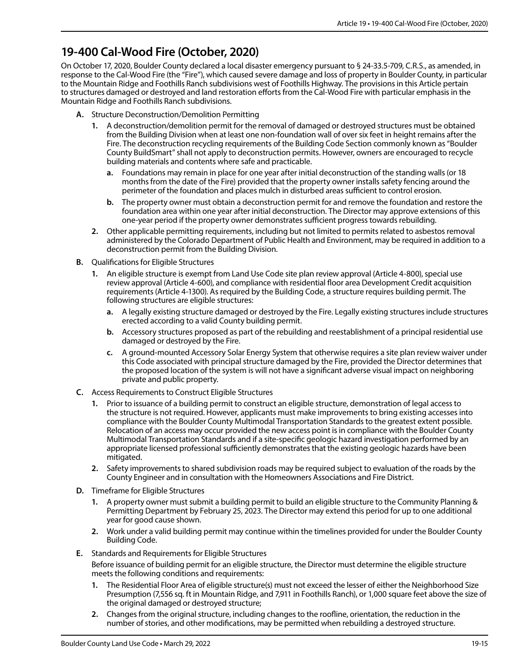#### **19-400 Cal-Wood Fire (October, 2020)**

On October 17, 2020, Boulder County declared a local disaster emergency pursuant to § 24-33.5-709, C.R.S., as amended, in response to the Cal-Wood Fire (the "Fire"), which caused severe damage and loss of property in Boulder County, in particular to the Mountain Ridge and Foothills Ranch subdivisions west of Foothills Highway. The provisions in this Article pertain to structures damaged or destroyed and land restoration efforts from the Cal-Wood Fire with particular emphasis in the Mountain Ridge and Foothills Ranch subdivisions.

- **A.** Structure Deconstruction/Demolition Permitting
	- **1.** A deconstruction/demolition permit for the removal of damaged or destroyed structures must be obtained from the Building Division when at least one non-foundation wall of over six feet in height remains after the Fire. The deconstruction recycling requirements of the Building Code Section commonly known as "Boulder County BuildSmart" shall not apply to deconstruction permits. However, owners are encouraged to recycle building materials and contents where safe and practicable.
		- **a.** Foundations may remain in place for one year after initial deconstruction of the standing walls (or 18 months from the date of the Fire) provided that the property owner installs safety fencing around the perimeter of the foundation and places mulch in disturbed areas sufficient to control erosion.
		- **b.** The property owner must obtain a deconstruction permit for and remove the foundation and restore the foundation area within one year after initial deconstruction. The Director may approve extensions of this one-year period if the property owner demonstrates sufficient progress towards rebuilding.
	- **2.** Other applicable permitting requirements, including but not limited to permits related to asbestos removal administered by the Colorado Department of Public Health and Environment, may be required in addition to a deconstruction permit from the Building Division.
- **B.** Qualifications for Eligible Structures
	- **1.** An eligible structure is exempt from Land Use Code site plan review approval (Article 4-800), special use review approval (Article 4-600), and compliance with residential floor area Development Credit acquisition requirements (Article 4-1300). As required by the Building Code, a structure requires building permit. The following structures are eligible structures:
		- **a.** A legally existing structure damaged or destroyed by the Fire. Legally existing structures include structures erected according to a valid County building permit.
		- **b.** Accessory structures proposed as part of the rebuilding and reestablishment of a principal residential use damaged or destroyed by the Fire.
		- **c.** A ground-mounted Accessory Solar Energy System that otherwise requires a site plan review waiver under this Code associated with principal structure damaged by the Fire, provided the Director determines that the proposed location of the system is will not have a significant adverse visual impact on neighboring private and public property.
- **C.** Access Requirements to Construct Eligible Structures
	- **1.** Prior to issuance of a building permit to construct an eligible structure, demonstration of legal access to the structure is not required. However, applicants must make improvements to bring existing accesses into compliance with the Boulder County Multimodal Transportation Standards to the greatest extent possible. Relocation of an access may occur provided the new access point is in compliance with the Boulder County Multimodal Transportation Standards and if a site-specific geologic hazard investigation performed by an appropriate licensed professional sufficiently demonstrates that the existing geologic hazards have been mitigated.
	- **2.** Safety improvements to shared subdivision roads may be required subject to evaluation of the roads by the County Engineer and in consultation with the Homeowners Associations and Fire District.
- **D.** Timeframe for Eligible Structures
	- **1.** A property owner must submit a building permit to build an eligible structure to the Community Planning & Permitting Department by February 25, 2023. The Director may extend this period for up to one additional year for good cause shown.
	- **2.** Work under a valid building permit may continue within the timelines provided for under the Boulder County Building Code.
- **E.** Standards and Requirements for Eligible Structures

Before issuance of building permit for an eligible structure, the Director must determine the eligible structure meets the following conditions and requirements:

- **1.** The Residential Floor Area of eligible structure(s) must not exceed the lesser of either the Neighborhood Size Presumption (7,556 sq. ft in Mountain Ridge, and 7,911 in Foothills Ranch), or 1,000 square feet above the size of the original damaged or destroyed structure;
- **2.** Changes from the original structure, including changes to the roofline, orientation, the reduction in the number of stories, and other modifications, may be permitted when rebuilding a destroyed structure.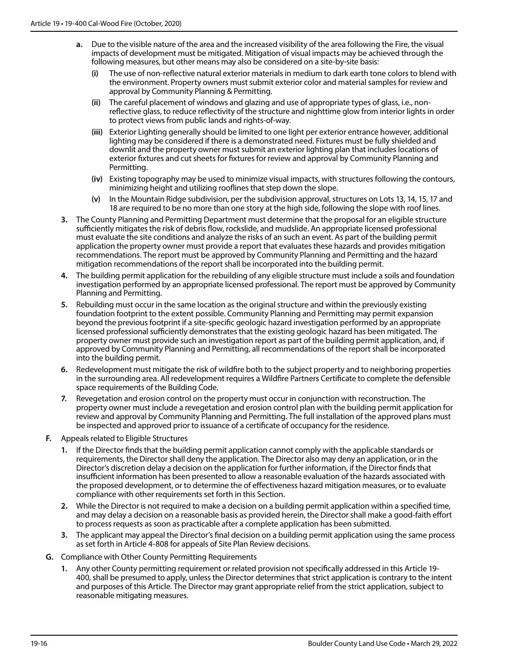- **a.** Due to the visible nature of the area and the increased visibility of the area following the Fire, the visual impacts of development must be mitigated. Mitigation of visual impacts may be achieved through the following measures, but other means may also be considered on a site-by-site basis:
	- **(i)** The use of non-reflective natural exterior materials in medium to dark earth tone colors to blend with the environment. Property owners must submit exterior color and material samples for review and approval by Community Planning & Permitting.
	- **(ii)** The careful placement of windows and glazing and use of appropriate types of glass, i.e., nonreflective glass, to reduce reflectivity of the structure and nighttime glow from interior lights in order to protect views from public lands and rights-of-way.
	- **(iii)** Exterior Lighting generally should be limited to one light per exterior entrance however, additional lighting may be considered if there is a demonstrated need. Fixtures must be fully shielded and downlit and the property owner must submit an exterior lighting plan that includes locations of exterior fixtures and cut sheets for fixtures for review and approval by Community Planning and Permitting.
	- **(iv)** Existing topography may be used to minimize visual impacts, with structures following the contours, minimizing height and utilizing rooflines that step down the slope.
	- **(v)** In the Mountain Ridge subdivision, per the subdivision approval, structures on Lots 13, 14, 15, 17 and 18 are required to be no more than one story at the high side, following the slope with roof lines.
- **3.** The County Planning and Permitting Department must determine that the proposal for an eligible structure sufficiently mitigates the risk of debris flow, rockslide, and mudslide. An appropriate licensed professional must evaluate the site conditions and analyze the risks of an such an event. As part of the building permit application the property owner must provide a report that evaluates these hazards and provides mitigation recommendations. The report must be approved by Community Planning and Permitting and the hazard mitigation recommendations of the report shall be incorporated into the building permit.
- **4.** The building permit application for the rebuilding of any eligible structure must include a soils and foundation investigation performed by an appropriate licensed professional. The report must be approved by Community Planning and Permitting.
- **5.** Rebuilding must occur in the same location as the original structure and within the previously existing foundation footprint to the extent possible. Community Planning and Permitting may permit expansion beyond the previous footprint if a site-specific geologic hazard investigation performed by an appropriate licensed professional sufficiently demonstrates that the existing geologic hazard has been mitigated. The property owner must provide such an investigation report as part of the building permit application, and, if approved by Community Planning and Permitting, all recommendations of the report shall be incorporated into the building permit.
- **6.** Redevelopment must mitigate the risk of wildfire both to the subject property and to neighboring properties in the surrounding area. All redevelopment requires a Wildfire Partners Certificate to complete the defensible space requirements of the Building Code.
- **7.** Revegetation and erosion control on the property must occur in conjunction with reconstruction. The property owner must include a revegetation and erosion control plan with the building permit application for review and approval by Community Planning and Permitting. The full installation of the approved plans must be inspected and approved prior to issuance of a certificate of occupancy for the residence.
- **F.** Appeals related to Eligible Structures
	- **1.** If the Director finds that the building permit application cannot comply with the applicable standards or requirements, the Director shall deny the application. The Director also may deny an application, or in the Director's discretion delay a decision on the application for further information, if the Director finds that insufficient information has been presented to allow a reasonable evaluation of the hazards associated with the proposed development, or to determine the of effectiveness hazard mitigation measures, or to evaluate compliance with other requirements set forth in this Section.
	- **2.** While the Director is not required to make a decision on a building permit application within a specified time, and may delay a decision on a reasonable basis as provided herein, the Director shall make a good-faith effort to process requests as soon as practicable after a complete application has been submitted.
	- **3.** The applicant may appeal the Director's final decision on a building permit application using the same process as set forth in Article 4-808 for appeals of Site Plan Review decisions.
- **G.** Compliance with Other County Permitting Requirements
	- **1.** Any other County permitting requirement or related provision not specifically addressed in this Article 19- 400, shall be presumed to apply, unless the Director determines that strict application is contrary to the intent and purposes of this Article. The Director may grant appropriate relief from the strict application, subject to reasonable mitigating measures.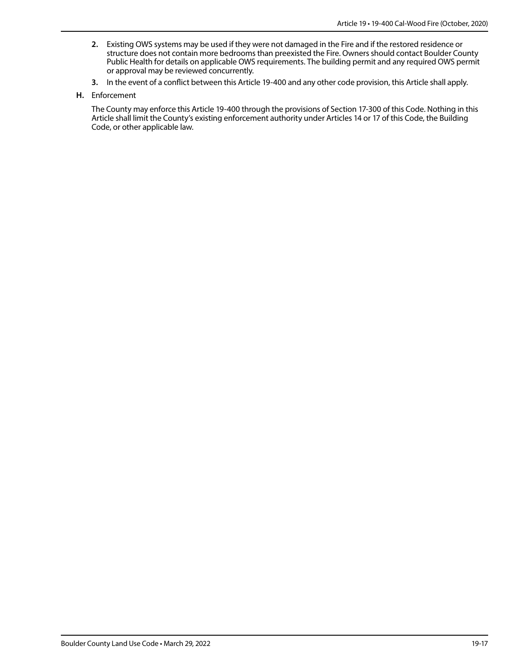- **2.** Existing OWS systems may be used if they were not damaged in the Fire and if the restored residence or structure does not contain more bedrooms than preexisted the Fire. Owners should contact Boulder County Public Health for details on applicable OWS requirements. The building permit and any required OWS permit or approval may be reviewed concurrently.
- **3.** In the event of a conflict between this Article 19-400 and any other code provision, this Article shall apply.
- **H.** Enforcement

The County may enforce this Article 19-400 through the provisions of Section 17-300 of this Code. Nothing in this Article shall limit the County's existing enforcement authority under Articles 14 or 17 of this Code, the Building Code, or other applicable law.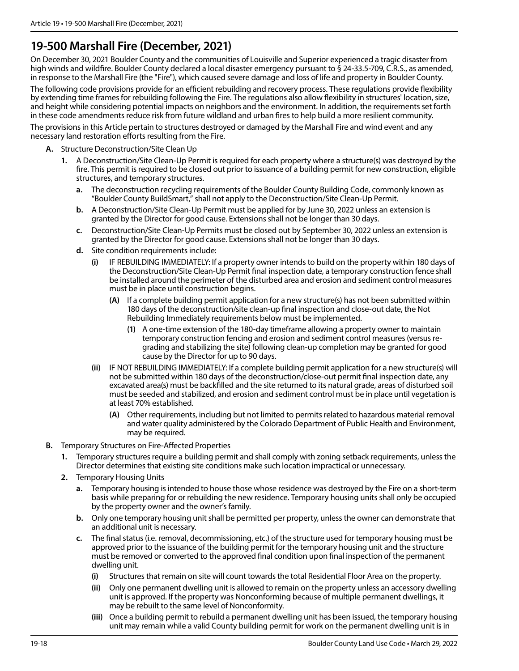#### **19-500 Marshall Fire (December, 2021)**

On December 30, 2021 Boulder County and the communities of Louisville and Superior experienced a tragic disaster from high winds and wildfire. Boulder County declared a local disaster emergency pursuant to § 24-33.5-709, C.R.S., as amended, in response to the Marshall Fire (the "Fire"), which caused severe damage and loss of life and property in Boulder County.

The following code provisions provide for an efficient rebuilding and recovery process. These regulations provide flexibility by extending time frames for rebuilding following the Fire. The regulations also allow flexibility in structures' location, size, and height while considering potential impacts on neighbors and the environment. In addition, the requirements set forth in these code amendments reduce risk from future wildland and urban fires to help build a more resilient community.

The provisions in this Article pertain to structures destroyed or damaged by the Marshall Fire and wind event and any necessary land restoration efforts resulting from the Fire.

- **A.** Structure Deconstruction/Site Clean Up
	- **1.** A Deconstruction/Site Clean-Up Permit is required for each property where a structure(s) was destroyed by the fire. This permit is required to be closed out prior to issuance of a building permit for new construction, eligible structures, and temporary structures.
		- **a.** The deconstruction recycling requirements of the Boulder County Building Code, commonly known as "Boulder County BuildSmart," shall not apply to the Deconstruction/Site Clean-Up Permit.
		- **b.** A Deconstruction/Site Clean-Up Permit must be applied for by June 30, 2022 unless an extension is granted by the Director for good cause. Extensions shall not be longer than 30 days.
		- **c.** Deconstruction/Site Clean-Up Permits must be closed out by September 30, 2022 unless an extension is granted by the Director for good cause. Extensions shall not be longer than 30 days.
		- **d.** Site condition requirements include:
			- **(i)** IF REBUILDING IMMEDIATELY: If a property owner intends to build on the property within 180 days of the Deconstruction/Site Clean-Up Permit final inspection date, a temporary construction fence shall be installed around the perimeter of the disturbed area and erosion and sediment control measures must be in place until construction begins.
				- **(A)** If a complete building permit application for a new structure(s) has not been submitted within 180 days of the deconstruction/site clean-up final inspection and close-out date, the Not Rebuilding Immediately requirements below must be implemented.
					- **(1)** A one-time extension of the 180-day timeframe allowing a property owner to maintain temporary construction fencing and erosion and sediment control measures (versus regrading and stabilizing the site) following clean-up completion may be granted for good cause by the Director for up to 90 days.
			- **(ii)** IF NOT REBUILDING IMMEDIATELY: If a complete building permit application for a new structure(s) will not be submitted within 180 days of the deconstruction/close-out permit final inspection date, any excavated area(s) must be backfilled and the site returned to its natural grade, areas of disturbed soil must be seeded and stabilized, and erosion and sediment control must be in place until vegetation is at least 70% established.
				- **(A)** Other requirements, including but not limited to permits related to hazardous material removal and water quality administered by the Colorado Department of Public Health and Environment, may be required.
- **B.** Temporary Structures on Fire-Affected Properties
	- **1.** Temporary structures require a building permit and shall comply with zoning setback requirements, unless the Director determines that existing site conditions make such location impractical or unnecessary.
	- **2.** Temporary Housing Units
		- **a.** Temporary housing is intended to house those whose residence was destroyed by the Fire on a short-term basis while preparing for or rebuilding the new residence. Temporary housing units shall only be occupied by the property owner and the owner's family.
		- **b.** Only one temporary housing unit shall be permitted per property, unless the owner can demonstrate that an additional unit is necessary.
		- **c.** The final status (i.e. removal, decommissioning, etc.) of the structure used for temporary housing must be approved prior to the issuance of the building permit for the temporary housing unit and the structure must be removed or converted to the approved final condition upon final inspection of the permanent dwelling unit.
			- **(i)** Structures that remain on site will count towards the total Residential Floor Area on the property.
			- **(ii)** Only one permanent dwelling unit is allowed to remain on the property unless an accessory dwelling unit is approved. If the property was Nonconforming because of multiple permanent dwellings, it may be rebuilt to the same level of Nonconformity.
			- **(iii)** Once a building permit to rebuild a permanent dwelling unit has been issued, the temporary housing unit may remain while a valid County building permit for work on the permanent dwelling unit is in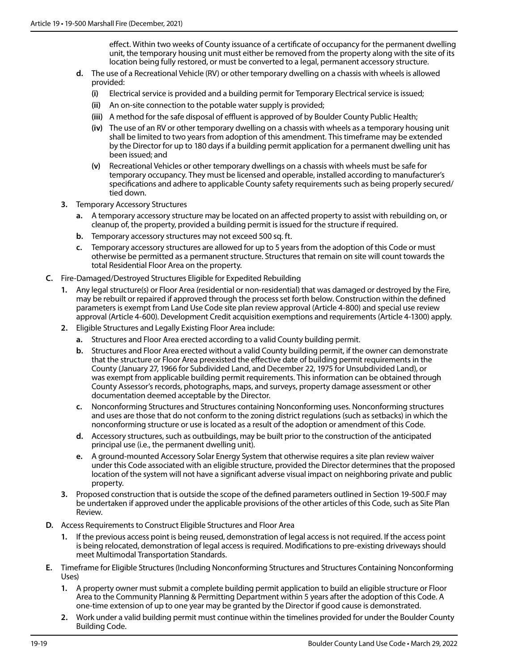effect. Within two weeks of County issuance of a certificate of occupancy for the permanent dwelling unit, the temporary housing unit must either be removed from the property along with the site of its location being fully restored, or must be converted to a legal, permanent accessory structure.

- **d.** The use of a Recreational Vehicle (RV) or other temporary dwelling on a chassis with wheels is allowed provided:
	- **(i)** Electrical service is provided and a building permit for Temporary Electrical service is issued;
	- **(ii)** An on-site connection to the potable water supply is provided;
	- **(iii)** A method for the safe disposal of effluent is approved of by Boulder County Public Health;
	- **(iv)** The use of an RV or other temporary dwelling on a chassis with wheels as a temporary housing unit shall be limited to two years from adoption of this amendment. This timeframe may be extended by the Director for up to 180 days if a building permit application for a permanent dwelling unit has been issued; and
	- **(v)** Recreational Vehicles or other temporary dwellings on a chassis with wheels must be safe for temporary occupancy. They must be licensed and operable, installed according to manufacturer's specifications and adhere to applicable County safety requirements such as being properly secured/ tied down.
- **3.** Temporary Accessory Structures
	- **a.** A temporary accessory structure may be located on an affected property to assist with rebuilding on, or cleanup of, the property, provided a building permit is issued for the structure if required.
	- **b.** Temporary accessory structures may not exceed 500 sq. ft.
	- **c.** Temporary accessory structures are allowed for up to 5 years from the adoption of this Code or must otherwise be permitted as a permanent structure. Structures that remain on site will count towards the total Residential Floor Area on the property.
- **C.** Fire-Damaged/Destroyed Structures Eligible for Expedited Rebuilding
	- **1.** Any legal structure(s) or Floor Area (residential or non-residential) that was damaged or destroyed by the Fire, may be rebuilt or repaired if approved through the process set forth below. Construction within the defined parameters is exempt from Land Use Code site plan review approval (Article 4-800) and special use review approval (Article 4-600). Development Credit acquisition exemptions and requirements (Article 4-1300) apply.
	- **2.** Eligible Structures and Legally Existing Floor Area include:
		- **a.** Structures and Floor Area erected according to a valid County building permit.
		- **b.** Structures and Floor Area erected without a valid County building permit, if the owner can demonstrate that the structure or Floor Area preexisted the effective date of building permit requirements in the County (January 27, 1966 for Subdivided Land, and December 22, 1975 for Unsubdivided Land), or was exempt from applicable building permit requirements. This information can be obtained through County Assessor's records, photographs, maps, and surveys, property damage assessment or other documentation deemed acceptable by the Director.
		- **c.** Nonconforming Structures and Structures containing Nonconforming uses. Nonconforming structures and uses are those that do not conform to the zoning district regulations (such as setbacks) in which the nonconforming structure or use is located as a result of the adoption or amendment of this Code.
		- **d.** Accessory structures, such as outbuildings, may be built prior to the construction of the anticipated principal use (i.e., the permanent dwelling unit).
		- **e.** A ground-mounted Accessory Solar Energy System that otherwise requires a site plan review waiver under this Code associated with an eligible structure, provided the Director determines that the proposed location of the system will not have a significant adverse visual impact on neighboring private and public property.
	- **3.** Proposed construction that is outside the scope of the defined parameters outlined in Section 19-500.F may be undertaken if approved under the applicable provisions of the other articles of this Code, such as Site Plan Review.
- **D.** Access Requirements to Construct Eligible Structures and Floor Area
	- **1.** If the previous access point is being reused, demonstration of legal access is not required. If the access point is being relocated, demonstration of legal access is required. Modifications to pre-existing driveways should meet Multimodal Transportation Standards.
- **E.** Timeframe for Eligible Structures (Including Nonconforming Structures and Structures Containing Nonconforming Uses)
	- **1.** A property owner must submit a complete building permit application to build an eligible structure or Floor Area to the Community Planning & Permitting Department within 5 years after the adoption of this Code. A one-time extension of up to one year may be granted by the Director if good cause is demonstrated.
	- **2.** Work under a valid building permit must continue within the timelines provided for under the Boulder County Building Code.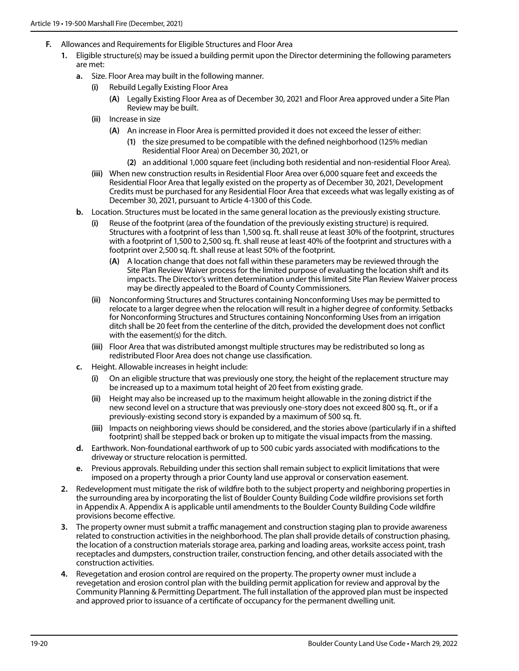- **F.** Allowances and Requirements for Eligible Structures and Floor Area
	- **1.** Eligible structure(s) may be issued a building permit upon the Director determining the following parameters are met:
		- **a.** Size. Floor Area may built in the following manner.
			- **(i)** Rebuild Legally Existing Floor Area
				- **(A)** Legally Existing Floor Area as of December 30, 2021 and Floor Area approved under a Site Plan Review may be built.
			- **(ii)** Increase in size
				- **(A)** An increase in Floor Area is permitted provided it does not exceed the lesser of either:
					- **(1)** the size presumed to be compatible with the defined neighborhood (125% median Residential Floor Area) on December 30, 2021, or
					- **(2)** an additional 1,000 square feet (including both residential and non-residential Floor Area).
			- **(iii)** When new construction results in Residential Floor Area over 6,000 square feet and exceeds the Residential Floor Area that legally existed on the property as of December 30, 2021, Development Credits must be purchased for any Residential Floor Area that exceeds what was legally existing as of December 30, 2021, pursuant to Article 4-1300 of this Code.
		- **b.** Location. Structures must be located in the same general location as the previously existing structure.
			- **(i)** Reuse of the footprint (area of the foundation of the previously existing structure) is required. Structures with a footprint of less than 1,500 sq. ft. shall reuse at least 30% of the footprint, structures with a footprint of 1,500 to 2,500 sq. ft. shall reuse at least 40% of the footprint and structures with a footprint over 2,500 sq. ft. shall reuse at least 50% of the footprint.
				- **(A)** A location change that does not fall within these parameters may be reviewed through the Site Plan Review Waiver process for the limited purpose of evaluating the location shift and its impacts. The Director's written determination under this limited Site Plan Review Waiver process may be directly appealed to the Board of County Commissioners.
			- **(ii)** Nonconforming Structures and Structures containing Nonconforming Uses may be permitted to relocate to a larger degree when the relocation will result in a higher degree of conformity. Setbacks for Nonconforming Structures and Structures containing Nonconforming Uses from an irrigation ditch shall be 20 feet from the centerline of the ditch, provided the development does not conflict with the easement(s) for the ditch.
			- **(iii)** Floor Area that was distributed amongst multiple structures may be redistributed so long as redistributed Floor Area does not change use classification.
		- **c.** Height. Allowable increases in height include:
			- **(i)** On an eligible structure that was previously one story, the height of the replacement structure may be increased up to a maximum total height of 20 feet from existing grade.
			- **(ii)** Height may also be increased up to the maximum height allowable in the zoning district if the new second level on a structure that was previously one-story does not exceed 800 sq. ft., or if a previously-existing second story is expanded by a maximum of 500 sq. ft.
			- **(iii)** Impacts on neighboring views should be considered, and the stories above (particularly if in a shifted footprint) shall be stepped back or broken up to mitigate the visual impacts from the massing.
		- **d.** Earthwork. Non-foundational earthwork of up to 500 cubic yards associated with modifications to the driveway or structure relocation is permitted.
		- **e.** Previous approvals. Rebuilding under this section shall remain subject to explicit limitations that were imposed on a property through a prior County land use approval or conservation easement.
	- **2.** Redevelopment must mitigate the risk of wildfire both to the subject property and neighboring properties in the surrounding area by incorporating the list of Boulder County Building Code wildfire provisions set forth in Appendix A. Appendix A is applicable until amendments to the Boulder County Building Code wildfire provisions become effective.
	- **3.** The property owner must submit a traffic management and construction staging plan to provide awareness related to construction activities in the neighborhood. The plan shall provide details of construction phasing, the location of a construction materials storage area, parking and loading areas, worksite access point, trash receptacles and dumpsters, construction trailer, construction fencing, and other details associated with the construction activities.
	- **4.** Revegetation and erosion control are required on the property. The property owner must include a revegetation and erosion control plan with the building permit application for review and approval by the Community Planning & Permitting Department. The full installation of the approved plan must be inspected and approved prior to issuance of a certificate of occupancy for the permanent dwelling unit.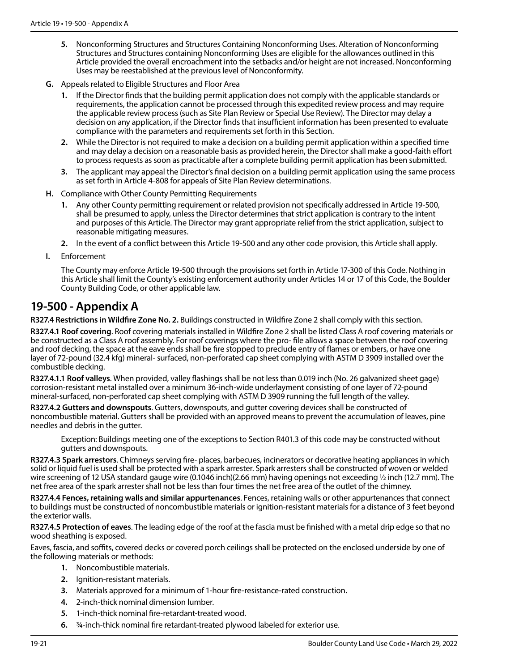- **5.** Nonconforming Structures and Structures Containing Nonconforming Uses. Alteration of Nonconforming Structures and Structures containing Nonconforming Uses are eligible for the allowances outlined in this Article provided the overall encroachment into the setbacks and/or height are not increased. Nonconforming Uses may be reestablished at the previous level of Nonconformity.
- **G.** Appeals related to Eligible Structures and Floor Area
	- **1.** If the Director finds that the building permit application does not comply with the applicable standards or requirements, the application cannot be processed through this expedited review process and may require the applicable review process (such as Site Plan Review or Special Use Review). The Director may delay a decision on any application, if the Director finds that insufficient information has been presented to evaluate compliance with the parameters and requirements set forth in this Section.
	- **2.** While the Director is not required to make a decision on a building permit application within a specified time and may delay a decision on a reasonable basis as provided herein, the Director shall make a good-faith effort to process requests as soon as practicable after a complete building permit application has been submitted.
	- **3.** The applicant may appeal the Director's final decision on a building permit application using the same process as set forth in Article 4-808 for appeals of Site Plan Review determinations.
- **H.** Compliance with Other County Permitting Requirements
	- **1.** Any other County permitting requirement or related provision not specifically addressed in Article 19-500, shall be presumed to apply, unless the Director determines that strict application is contrary to the intent and purposes of this Article. The Director may grant appropriate relief from the strict application, subject to reasonable mitigating measures.
	- **2.** In the event of a conflict between this Article 19-500 and any other code provision, this Article shall apply.
- **I.** Enforcement

The County may enforce Article 19-500 through the provisions set forth in Article 17-300 of this Code. Nothing in this Article shall limit the County's existing enforcement authority under Articles 14 or 17 of this Code, the Boulder County Building Code, or other applicable law.

#### **19-500 - Appendix A**

**R327.4 Restrictions in Wildfire Zone No. 2.** Buildings constructed in Wildfire Zone 2 shall comply with this section.

**R327.4.1 Roof covering**. Roof covering materials installed in Wildfire Zone 2 shall be listed Class A roof covering materials or be constructed as a Class A roof assembly. For roof coverings where the pro- file allows a space between the roof covering and roof decking, the space at the eave ends shall be fire stopped to preclude entry of flames or embers, or have one layer of 72-pound (32.4 kfg) mineral- surfaced, non-perforated cap sheet complying with ASTM D 3909 installed over the combustible decking.

**R327.4.1.1 Roof valleys**. When provided, valley flashings shall be not less than 0.019 inch (No. 26 galvanized sheet gage) corrosion-resistant metal installed over a minimum 36-inch-wide underlayment consisting of one layer of 72-pound mineral-surfaced, non-perforated cap sheet complying with ASTM D 3909 running the full length of the valley.

**R327.4.2 Gutters and downspouts**. Gutters, downspouts, and gutter covering devices shall be constructed of noncombustible material. Gutters shall be provided with an approved means to prevent the accumulation of leaves, pine needles and debris in the gutter.

Exception: Buildings meeting one of the exceptions to Section R401.3 of this code may be constructed without gutters and downspouts.

**R327.4.3 Spark arrestors**. Chimneys serving fire- places, barbecues, incinerators or decorative heating appliances in which solid or liquid fuel is used shall be protected with a spark arrester. Spark arresters shall be constructed of woven or welded wire screening of 12 USA standard gauge wire (0.1046 inch)(2.66 mm) having openings not exceeding 1/2 inch (12.7 mm). The net free area of the spark arrester shall not be less than four times the net free area of the outlet of the chimney.

**R327.4.4 Fences, retaining walls and similar appurtenances**. Fences, retaining walls or other appurtenances that connect to buildings must be constructed of noncombustible materials or ignition-resistant materials for a distance of 3 feet beyond the exterior walls.

**R327.4.5 Protection of eaves**. The leading edge of the roof at the fascia must be finished with a metal drip edge so that no wood sheathing is exposed.

Eaves, fascia, and soffits, covered decks or covered porch ceilings shall be protected on the enclosed underside by one of the following materials or methods:

- **1.** Noncombustible materials.
- **2.** Ignition-resistant materials.
- **3.** Materials approved for a minimum of 1-hour fire-resistance-rated construction.
- **4.** 2-inch-thick nominal dimension lumber.
- **5.** 1-inch-thick nominal fire-retardant-treated wood.
- **6.** ¾-inch-thick nominal fire retardant-treated plywood labeled for exterior use.